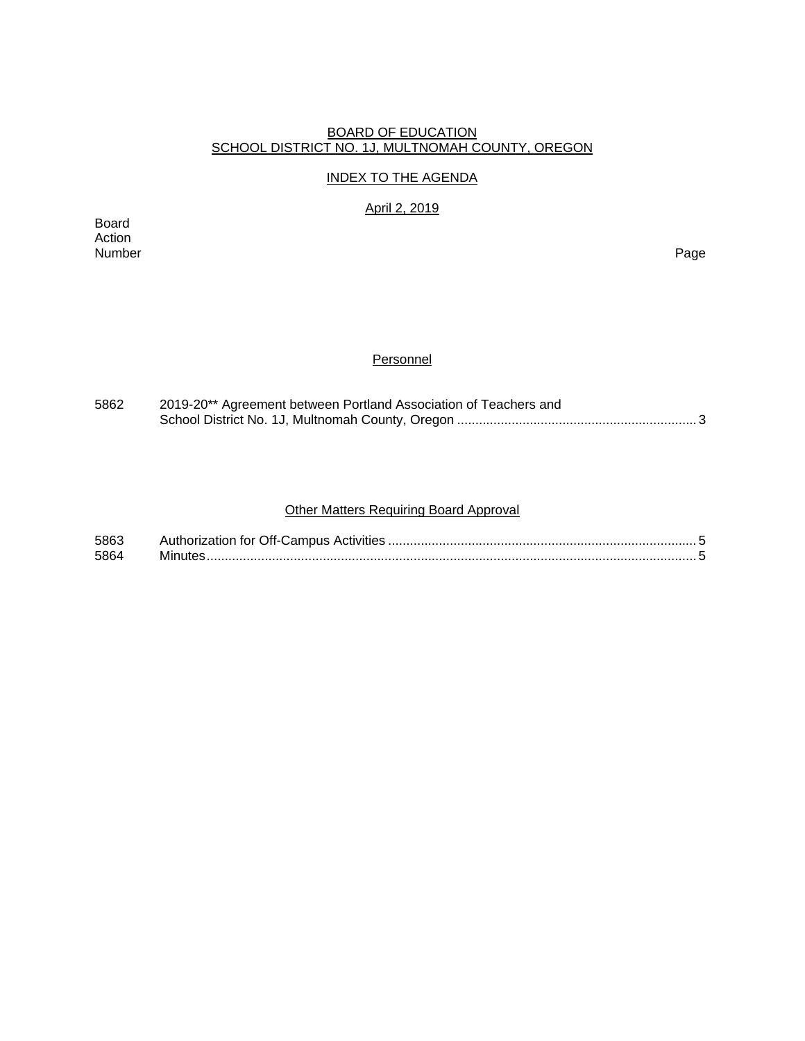#### BOARD OF EDUCATION SCHOOL DISTRICT NO. 1J, MULTNOMAH COUNTY, OREGON

#### INDEX TO THE AGENDA

April 2, 2019

Board Action Number Page

## **Personnel**

| 5862 | 2019-20** Agreement between Portland Association of Teachers and |  |  |  |  |
|------|------------------------------------------------------------------|--|--|--|--|
|      |                                                                  |  |  |  |  |

# Other Matters Requiring Board Approval

| 5863 |  |
|------|--|
| 5864 |  |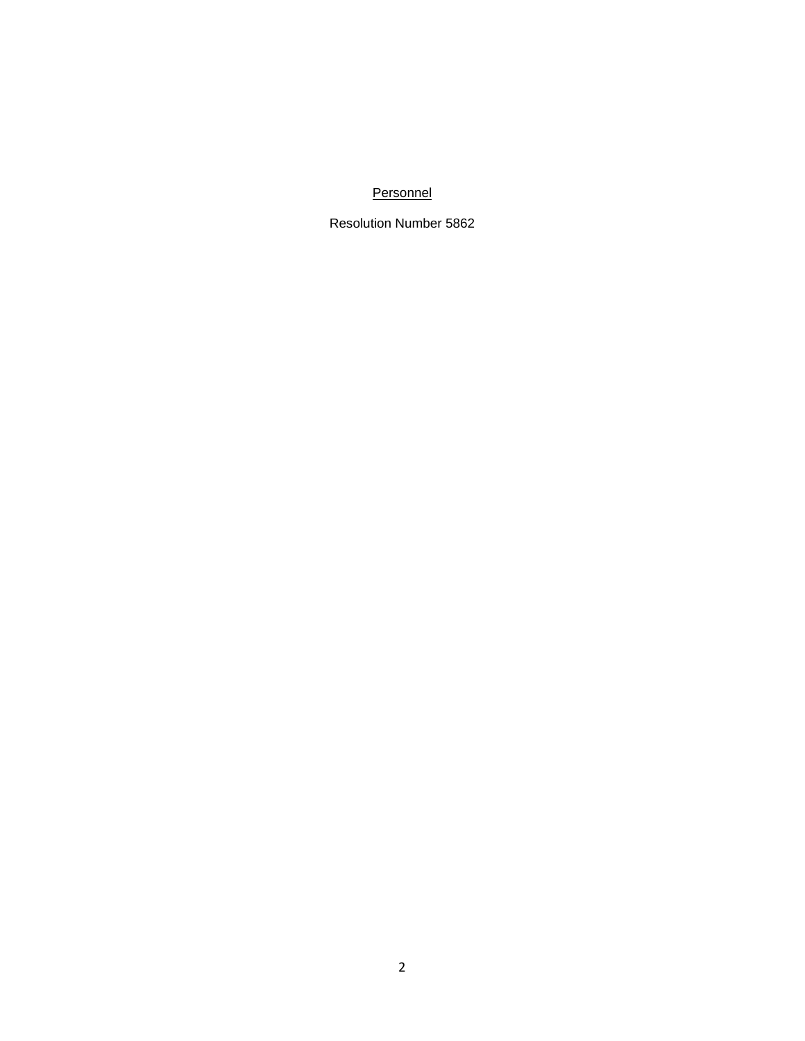## **Personnel**

Resolution Number 5862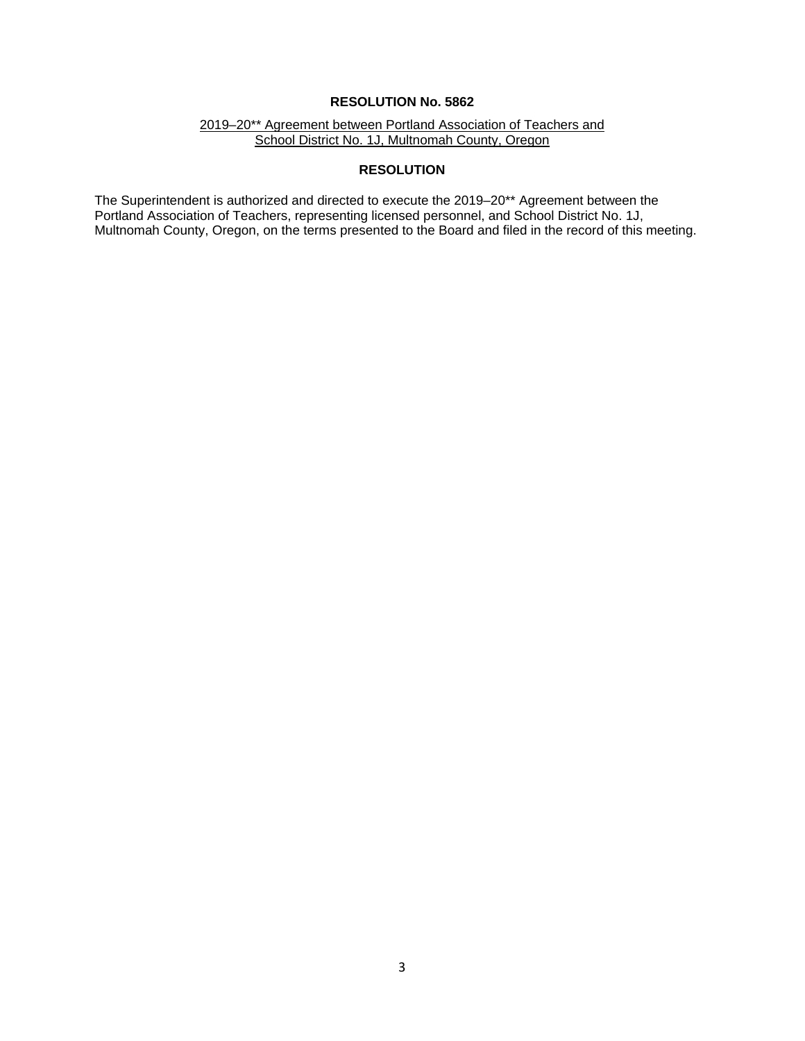#### **RESOLUTION No. 5862**

2019–20\*\* Agreement between Portland Association of Teachers and School District No. 1J, Multnomah County, Oregon

## **RESOLUTION**

The Superintendent is authorized and directed to execute the 2019–20\*\* Agreement between the Portland Association of Teachers, representing licensed personnel, and School District No. 1J, Multnomah County, Oregon, on the terms presented to the Board and filed in the record of this meeting.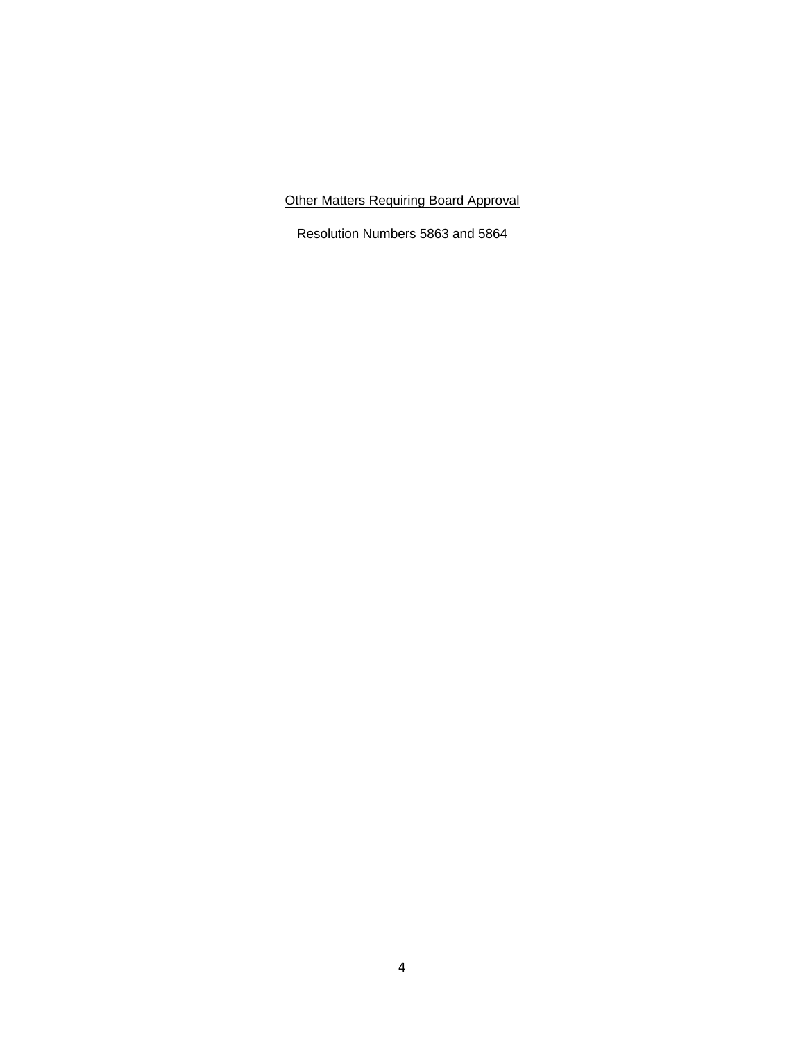Other Matters Requiring Board Approval

Resolution Numbers 5863 and 5864